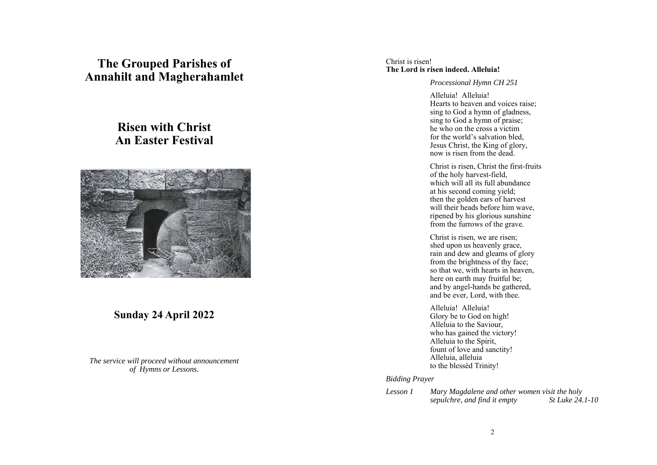## **The Grouped Parishes of Annahilt and Magherahamlet**

# **Risen with Christ An Easter Festival**



### **Sunday 24 April 2022**

*The service will proceed without announcement of Hymns or Lessons.* 

#### Christ is risen! **The Lord is risen indeed. Alleluia!**

#### *Processional Hymn CH 251*

Alleluia! Alleluia! Hearts to heaven and voices raise; sing to God a hymn of gladness, sing to God a hymn of praise; he who on the cross a victim for the world's salvation bled, Jesus Christ, the King of glory, now is risen from the dead.

Christ is risen, Christ the first-fruits of the holy harvest-field, which will all its full abundance at his second coming yield; then the golden ears of harvest will their heads before him wave, ripened by his glorious sunshine from the furrows of the grave.

Christ is risen, we are risen; shed upon us heavenly grace, rain and dew and gleams of glory from the brightness of thy face; so that we, with hearts in heaven, here on earth may fruitful be; and by angel-hands be gathered, and be ever, Lord, with thee.

Alleluia! Alleluia! Glory be to God on high! Alleluia to the Saviour, who has gained the victory! Alleluia to the Spirit, fount of love and sanctity! Alleluia, alleluia to the blessèd Trinity!

*Bidding Prayer* 

*Lesson 1 Mary Magdalene and other women visit the holy sepulchre, and find it empty St Luke 24.1-10*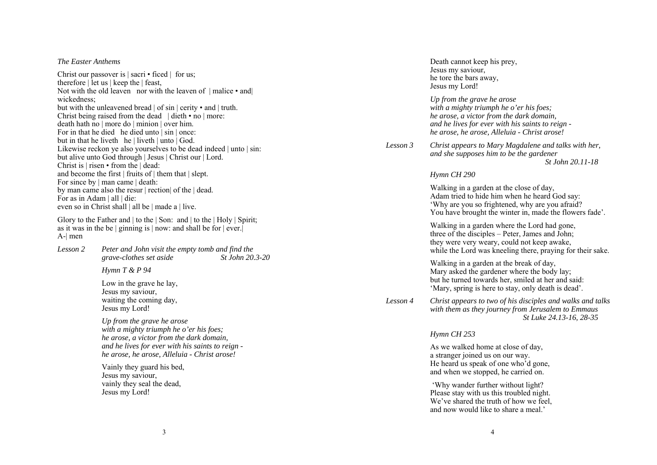#### *The Easter Anthems*

Christ our passover is | sacri • ficed | for us; therefore | let us | keep the | feast, Not with the old leaven nor with the leaven of  $|$  malice  $\cdot$  and  $|$ wickedness; but with the unleavened bread | of sin | cerity • and | truth. Christ being raised from the dead | dieth • no | more: death hath no | more do | minion | over him. For in that he died he died unto | sin | once: but in that he liveth he  $|$  liveth  $|$  unto  $|$  God. Likewise reckon ye also yourselves to be dead indeed | unto | sin: but alive unto God through | Jesus | Christ our | Lord. Christ is | risen • from the | dead: and become the first | fruits of | them that | slept. For since by  $|$  man came  $|$  death: by man came also the resur | rection| of the | dead. For as in Adam | all | die: even so in Christ shall | all be | made a | live.

Glory to the Father and | to the | Son: and | to the | Holy | Spirit; as it was in the be  $|$  ginning is  $|$  now: and shall be for  $|$  ever. A-| men

*Lesson 2 Peter and John visit the empty tomb and find the grave-clothes set aside St John 20.3-20* 

*Hymn T & P 94* 

Low in the grave he lay, Jesus my saviour, waiting the coming day, Jesus my Lord!

*Up from the grave he arose with a mighty triumph he o'er his foes; he arose, a victor from the dark domain, and he lives for ever with his saints to reign he arose, he arose, Alleluia - Christ arose!* 

Vainly they guard his bed, Jesus my saviour, vainly they seal the dead, Jesus my Lord!

Death cannot keep his prey, Jesus my saviour, he tore the bars away, Jesus my Lord!

*Up from the grave he arose with a mighty triumph he o'er his foes; he arose, a victor from the dark domain, and he lives for ever with his saints to reign he arose, he arose, Alleluia - Christ arose!* 

*Lesson 3 Christ appears to Mary Magdalene and talks with her, and she supposes him to be the gardener St John 20.11-18* 

#### *Hymn CH 290*

Walking in a garden at the close of day, Adam tried to hide him when he heard God say: 'Why are you so frightened, why are you afraid? You have brought the winter in, made the flowers fade'.

Walking in a garden where the Lord had gone, three of the disciples – Peter, James and John; they were very weary, could not keep awake, while the Lord was kneeling there, praying for their sake.

Walking in a garden at the break of day, Mary asked the gardener where the body lay; but he turned towards her, smiled at her and said: 'Mary, spring is here to stay, only death is dead'.

*Lesson 4 Christ appears to two of his disciples and walks and talks with them as they journey from Jerusalem to Emmaus St Luke 24.13-16, 28-35* 

#### *Hymn CH 253*

As we walked home at close of day, a stranger joined us on our way. He heard us speak of one who'd gone, and when we stopped, he carried on.

 'Why wander further without light? Please stay with us this troubled night. We've shared the truth of how we feel. and now would like to share a meal.'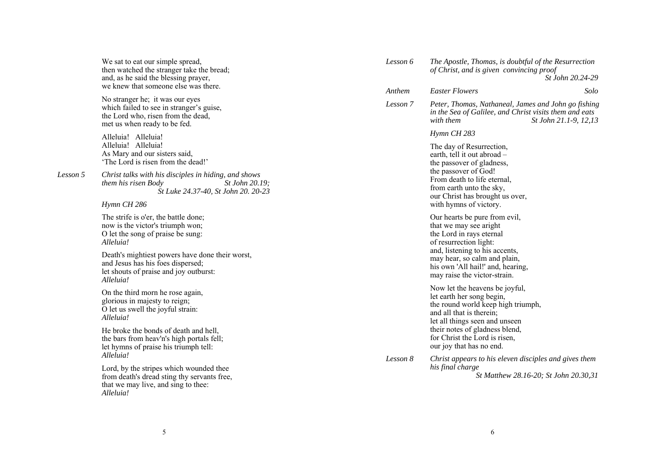| We sat to eat our simple spread,          |
|-------------------------------------------|
| then watched the stranger take the bread; |
| and, as he said the blessing prayer,      |
| we knew that someone else was there.      |

No stranger he; it was our eyes which failed to see in stranger's guise, the Lord who, risen from the dead, met us when ready to be fed.

Alleluia! Alleluia! Alleluia! Alleluia! As Mary and our sisters said, 'The Lord is risen from the dead!'

*Lesson 5 Christ talks with his disciples in hiding, and shows them his risen Body St John 20.19; St Luke 24.37-40, St John 20. 20-23* 

*Hymn CH 286*

The strife is o'er, the battle done; now is the victor's triumph won; O let the song of praise be sung: *Alleluia!* 

Death's mightiest powers have done their worst, and Jesus has his foes dispersed; let shouts of praise and joy outburst: *Alleluia!* 

On the third morn he rose again, glorious in majesty to reign; O let us swell the joyful strain: *Alleluia!* 

He broke the bonds of death and hell, the bars from heav'n's high portals fell; let hymns of praise his triumph tell: *Alleluia!* 

Lord, by the stripes which wounded thee from death's dread sting thy servants free, that we may live, and sing to thee: *Alleluia!*

| Lesson 6 | The Apostle, Thomas, is doubtful of the Resurrection<br>of Christ, and is given convincing proof<br><i>St John 20.24-29</i>                                                                                                                                    |                                       |
|----------|----------------------------------------------------------------------------------------------------------------------------------------------------------------------------------------------------------------------------------------------------------------|---------------------------------------|
| Anthem   | <b>Easter Flowers</b>                                                                                                                                                                                                                                          | Solo                                  |
| Lesson 7 | Peter, Thomas, Nathaneal, James and John go fishing<br>in the Sea of Galilee, and Christ visits them and eats<br>with them                                                                                                                                     | <i>St John 21.1-9, 12,13</i>          |
|          | Hymn CH 283                                                                                                                                                                                                                                                    |                                       |
|          | The day of Resurrection,<br>earth, tell it out abroad -<br>the passover of gladness,<br>the passover of God!<br>From death to life eternal,<br>from earth unto the sky,<br>our Christ has brought us over,<br>with hymns of victory.                           |                                       |
|          | Our hearts be pure from evil,<br>that we may see aright<br>the Lord in rays eternal<br>of resurrection light:<br>and, listening to his accents,<br>may hear, so calm and plain,<br>his own 'All hail!' and, hearing,<br>may raise the victor-strain.           |                                       |
|          | Now let the heavens be joyful,<br>let earth her song begin,<br>the round world keep high triumph,<br>and all that is therein;<br>let all things seen and unseen<br>their notes of gladness blend,<br>for Christ the Lord is risen,<br>our joy that has no end. |                                       |
| Lesson 8 | Christ appears to his eleven disciples and gives them<br>his final charge                                                                                                                                                                                      | St Matthew 28.16-20; St John 20.30,31 |